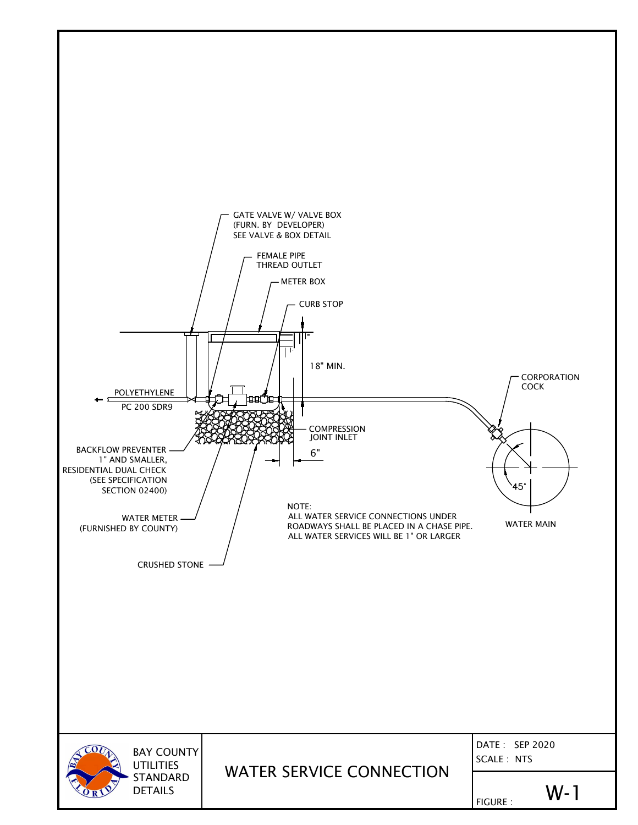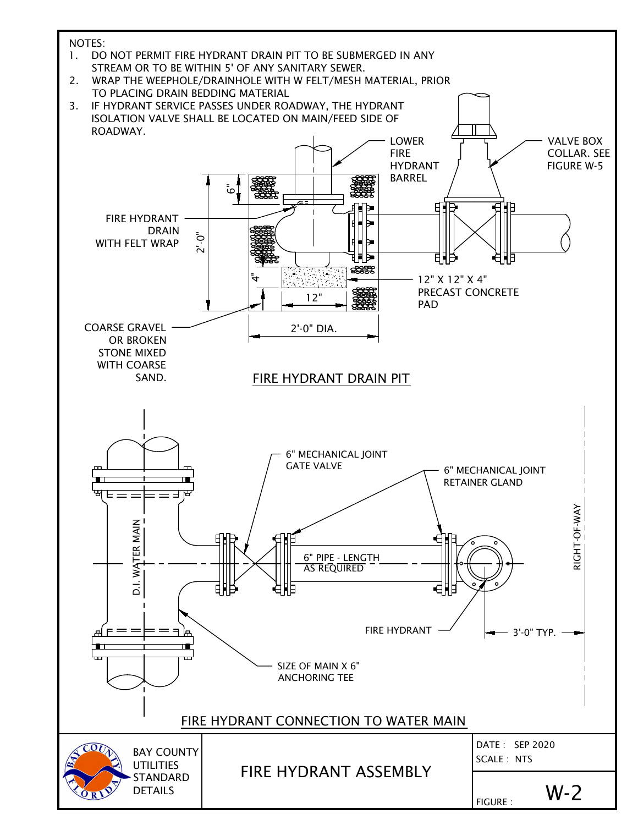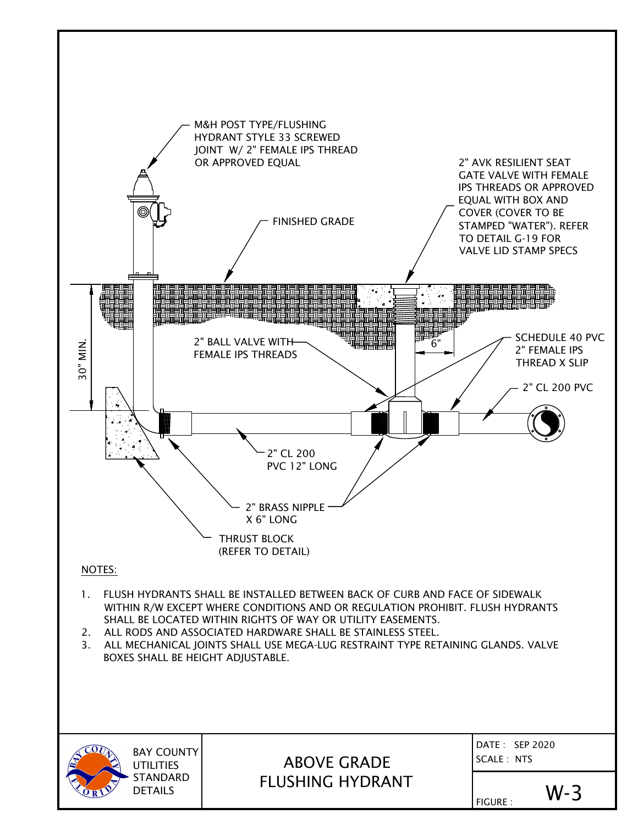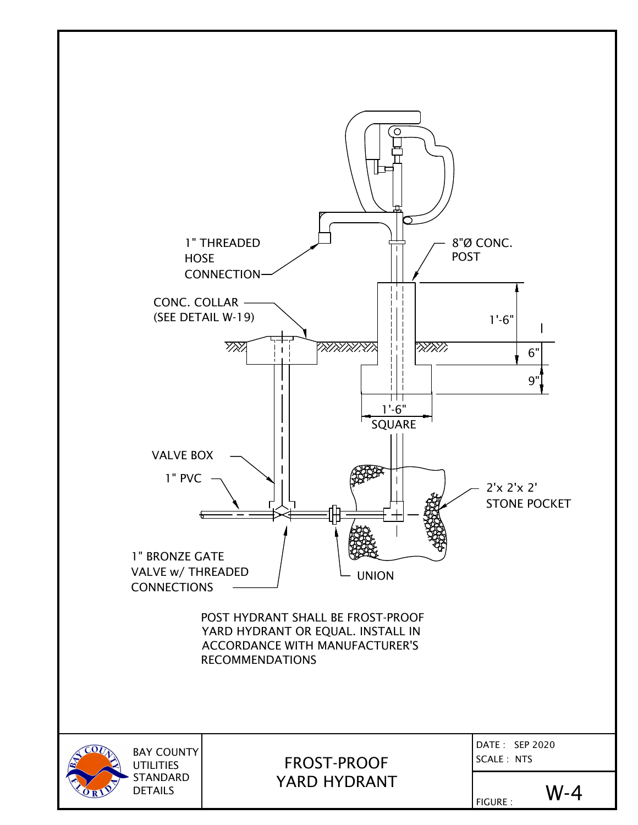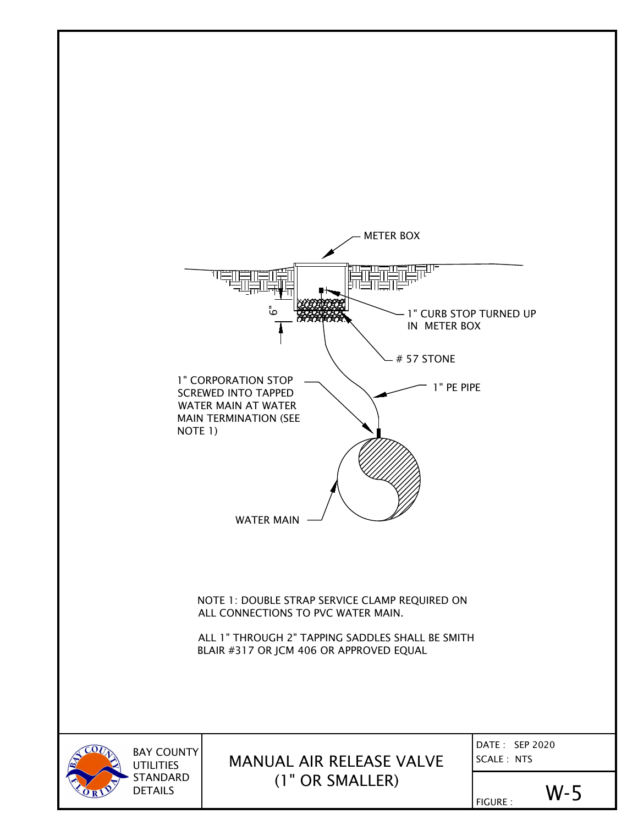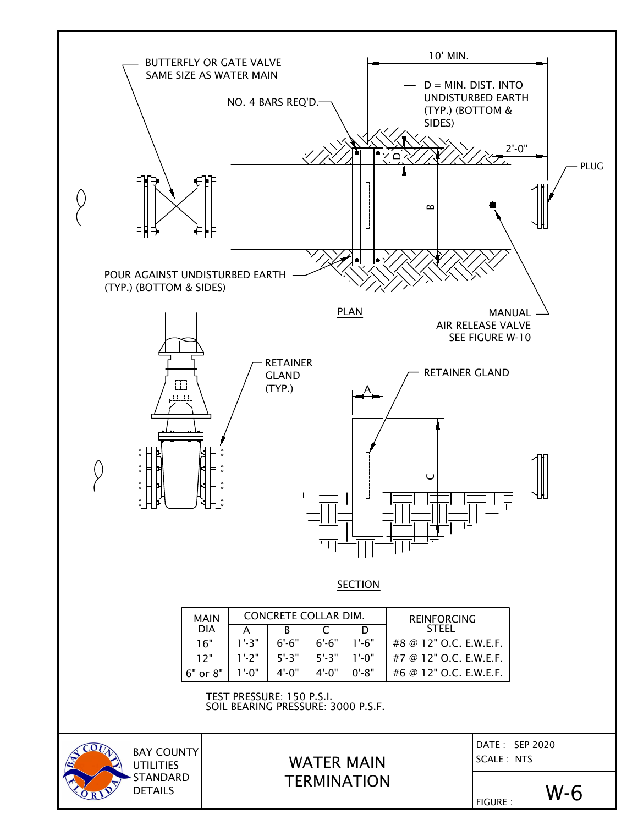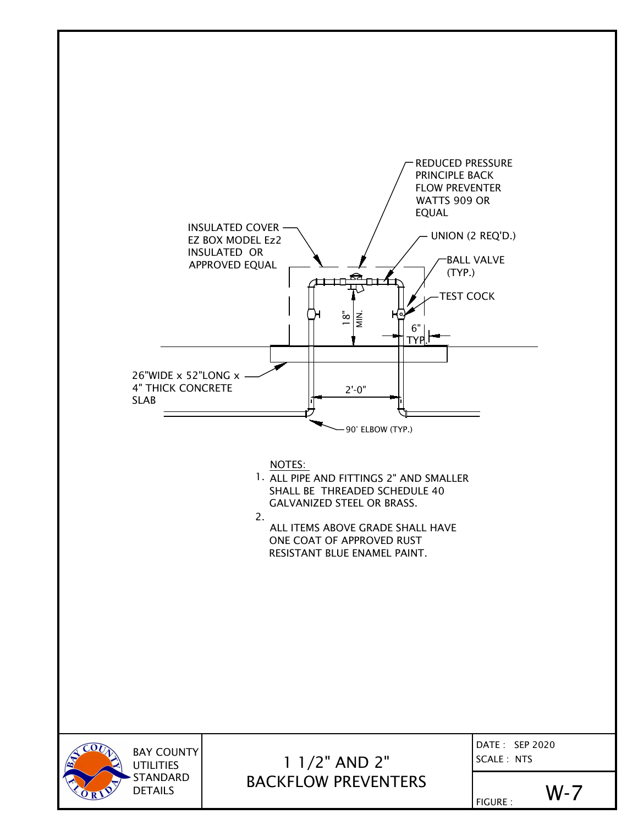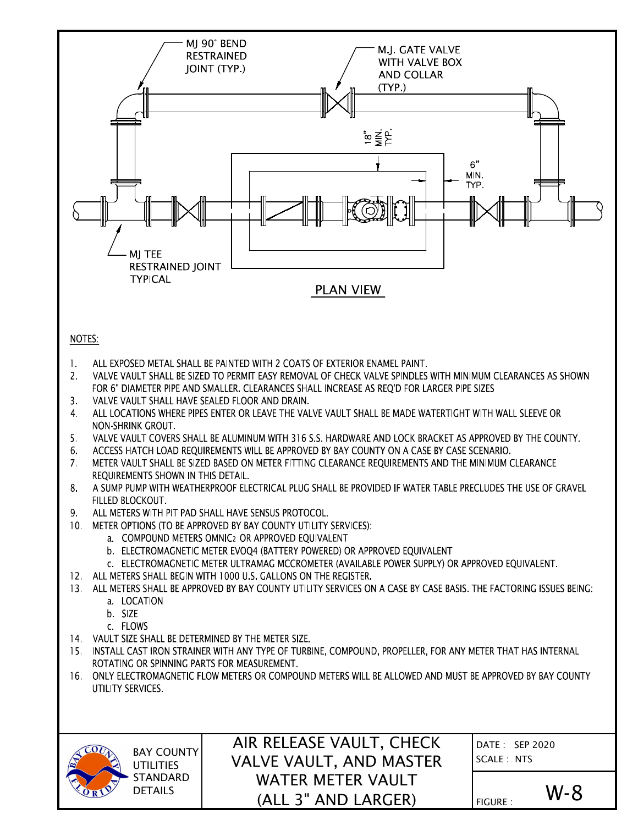

STANDARD DETAILS

WATER METER VAULT (ALL 3" AND LARGER)

 $F_{\text{FIGURE}}$  :  $W - 8$